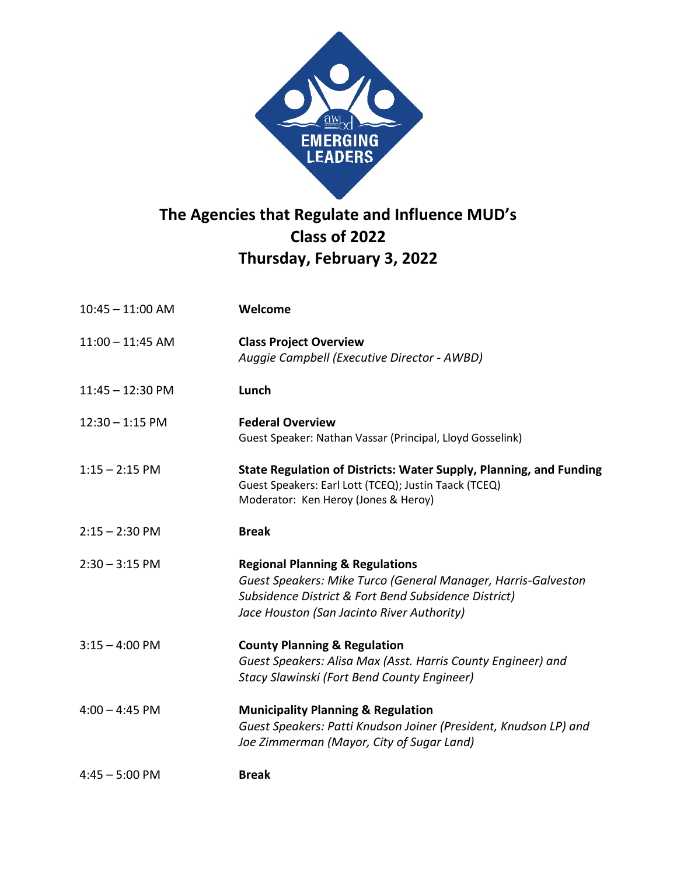

## **The Agencies that Regulate and Influence MUD's Class of 2022 Thursday, February 3, 2022**

| $10:45 - 11:00$ AM | Welcome                                                                                                                                                                                                           |
|--------------------|-------------------------------------------------------------------------------------------------------------------------------------------------------------------------------------------------------------------|
| $11:00 - 11:45$ AM | <b>Class Project Overview</b><br>Auggie Campbell (Executive Director - AWBD)                                                                                                                                      |
| $11:45 - 12:30$ PM | Lunch                                                                                                                                                                                                             |
| $12:30 - 1:15$ PM  | <b>Federal Overview</b><br>Guest Speaker: Nathan Vassar (Principal, Lloyd Gosselink)                                                                                                                              |
| $1:15 - 2:15$ PM   | State Regulation of Districts: Water Supply, Planning, and Funding<br>Guest Speakers: Earl Lott (TCEQ); Justin Taack (TCEQ)<br>Moderator: Ken Heroy (Jones & Heroy)                                               |
| $2:15 - 2:30$ PM   | <b>Break</b>                                                                                                                                                                                                      |
| $2:30 - 3:15$ PM   | <b>Regional Planning &amp; Regulations</b><br>Guest Speakers: Mike Turco (General Manager, Harris-Galveston<br>Subsidence District & Fort Bend Subsidence District)<br>Jace Houston (San Jacinto River Authority) |
| $3:15 - 4:00$ PM   | <b>County Planning &amp; Regulation</b><br>Guest Speakers: Alisa Max (Asst. Harris County Engineer) and<br>Stacy Slawinski (Fort Bend County Engineer)                                                            |
| $4:00 - 4:45$ PM   | <b>Municipality Planning &amp; Regulation</b><br>Guest Speakers: Patti Knudson Joiner (President, Knudson LP) and<br>Joe Zimmerman (Mayor, City of Sugar Land)                                                    |
| $4:45 - 5:00$ PM   | <b>Break</b>                                                                                                                                                                                                      |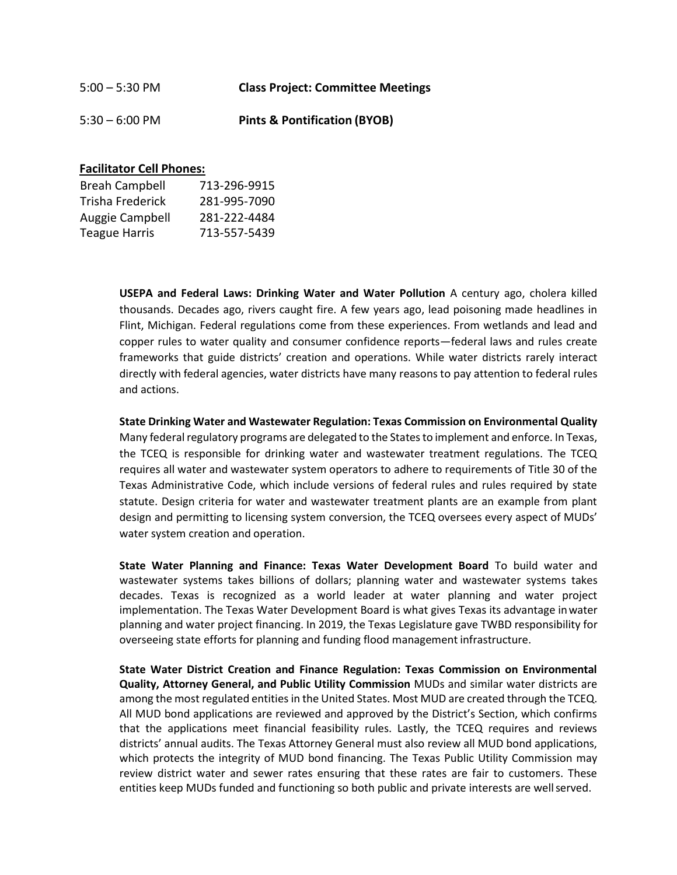| $5:00 - 5:30$ PM         | <b>Class Project: Committee Meetings</b> |
|--------------------------|------------------------------------------|
| $5:30 - 6:00 \text{ PM}$ | <b>Pints &amp; Pontification (BYOB)</b>  |

## **Facilitator Cell Phones:**

| <b>Breah Campbell</b> | 713-296-9915 |
|-----------------------|--------------|
| Trisha Frederick      | 281-995-7090 |
| Auggie Campbell       | 281-222-4484 |
| <b>Teague Harris</b>  | 713-557-5439 |

**USEPA and Federal Laws: Drinking Water and Water Pollution** A century ago, cholera killed thousands. Decades ago, rivers caught fire. A few years ago, lead poisoning made headlines in Flint, Michigan. Federal regulations come from these experiences. From wetlands and lead and copper rules to water quality and consumer confidence reports—federal laws and rules create frameworks that guide districts' creation and operations. While water districts rarely interact directly with federal agencies, water districts have many reasons to pay attention to federal rules and actions.

**State Drinking Water and Wastewater Regulation: Texas Commission on Environmental Quality**  Many federal regulatory programs are delegated to the States to implement and enforce. In Texas, the TCEQ is responsible for drinking water and wastewater treatment regulations. The TCEQ requires all water and wastewater system operators to adhere to requirements of Title 30 of the Texas Administrative Code, which include versions of federal rules and rules required by state statute. Design criteria for water and wastewater treatment plants are an example from plant design and permitting to licensing system conversion, the TCEQ oversees every aspect of MUDs' water system creation and operation.

**State Water Planning and Finance: Texas Water Development Board** To build water and wastewater systems takes billions of dollars; planning water and wastewater systems takes decades. Texas is recognized as a world leader at water planning and water project implementation. The Texas Water Development Board is what gives Texas its advantage inwater planning and water project financing. In 2019, the Texas Legislature gave TWBD responsibility for overseeing state efforts for planning and funding flood management infrastructure.

**State Water District Creation and Finance Regulation: Texas Commission on Environmental Quality, Attorney General, and Public Utility Commission** MUDs and similar water districts are among the most regulated entities in the United States. Most MUD are created through the TCEQ. All MUD bond applications are reviewed and approved by the District's Section, which confirms that the applications meet financial feasibility rules. Lastly, the TCEQ requires and reviews districts' annual audits. The Texas Attorney General must also review all MUD bond applications, which protects the integrity of MUD bond financing. The Texas Public Utility Commission may review district water and sewer rates ensuring that these rates are fair to customers. These entities keep MUDs funded and functioning so both public and private interests are wellserved.